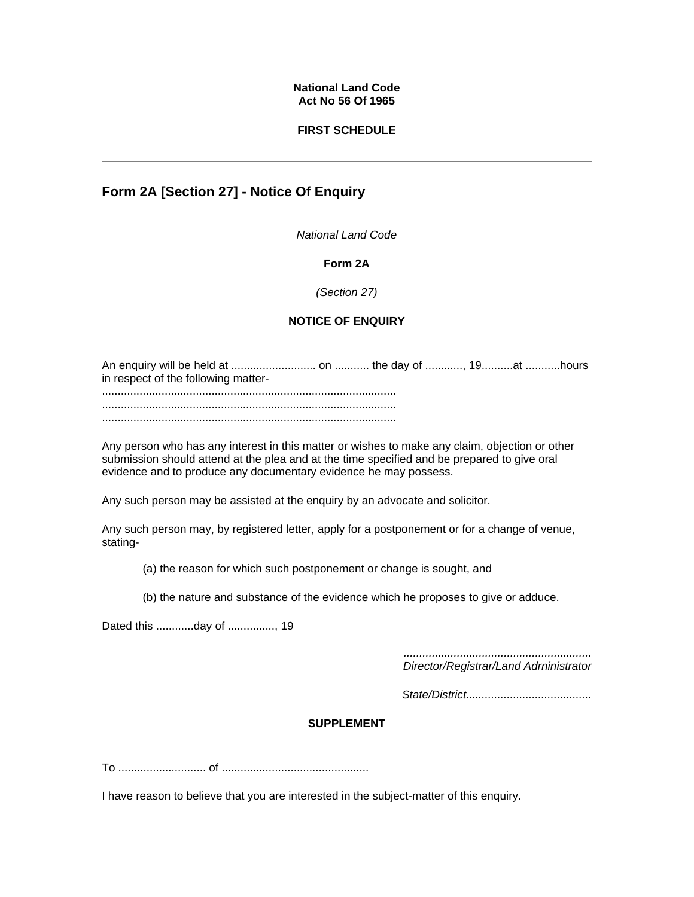#### **National Land Code Act No 56 Of 1965**

### **FIRST SCHEDULE**

# **Form 2A [Section 27] - Notice Of Enquiry**

*National Land Code*

#### **Form 2A**

#### *(Section 27)*

## **NOTICE OF ENQUIRY**

An enquiry will be held at ........................... on ........... the day of ............, 19..........at ...........hours in respect of the following matter- ..............................................................................................

.............................................................................................. ..............................................................................................

Any person who has any interest in this matter or wishes to make any claim, objection or other submission should attend at the plea and at the time specified and be prepared to give oral evidence and to produce any documentary evidence he may possess.

Any such person may be assisted at the enquiry by an advocate and solicitor.

Any such person may, by registered letter, apply for a postponement or for a change of venue, stating-

- (a) the reason for which such postponement or change is sought, and
- (b) the nature and substance of the evidence which he proposes to give or adduce.

Dated this ............day of ..............., 19

*............................................................ Director/Registrar/Land Adrninistrator* 

*State/District........................................* 

#### **SUPPLEMENT**

To ............................ of ...............................................

I have reason to believe that you are interested in the subject-matter of this enquiry.